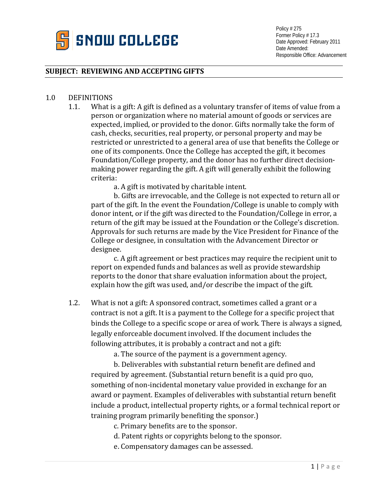

Policy # 275 Former Policy # 17.3 Date Approved: February 2011 Date Amended: Responsible Office: Advancement

## **SUBJECT: REVIEWING AND ACCEPTING GIFTS**

## 1.0 DEFINITIONS

1.1. What is a gift: A gift is defined as a voluntary transfer of items of value from a person or organization where no material amount of goods or services are expected, implied, or provided to the donor. Gifts normally take the form of cash, checks, securities, real property, or personal property and may be restricted or unrestricted to a general area of use that benefits the College or one of its components. Once the College has accepted the gift, it becomes Foundation/College property, and the donor has no further direct decisionmaking power regarding the gift. A gift will generally exhibit the following criteria:

a. A gift is motivated by charitable intent.

b. Gifts are irrevocable, and the College is not expected to return all or part of the gift. In the event the Foundation/College is unable to comply with donor intent, or if the gift was directed to the Foundation/College in error, a return of the gift may be issued at the Foundation or the College's discretion. Approvals for such returns are made by the Vice President for Finance of the College or designee, in consultation with the Advancement Director or designee.

c. A gift agreement or best practices may require the recipient unit to report on expended funds and balances as well as provide stewardship reports to the donor that share evaluation information about the project, explain how the gift was used, and/or describe the impact of the gift.

1.2. What is not a gift: A sponsored contract, sometimes called a grant or a contract is not a gift. It is a payment to the College for a specific project that binds the College to a specific scope or area of work. There is always a signed, legally enforceable document involved. If the document includes the following attributes, it is probably a contract and not a gift:

a. The source of the payment is a government agency.

b. Deliverables with substantial return benefit are defined and required by agreement. (Substantial return benefit is a quid pro quo, something of non-incidental monetary value provided in exchange for an award or payment. Examples of deliverables with substantial return benefit include a product, intellectual property rights, or a formal technical report or training program primarily benefiting the sponsor.)

c. Primary benefits are to the sponsor.

- d. Patent rights or copyrights belong to the sponsor.
- e. Compensatory damages can be assessed.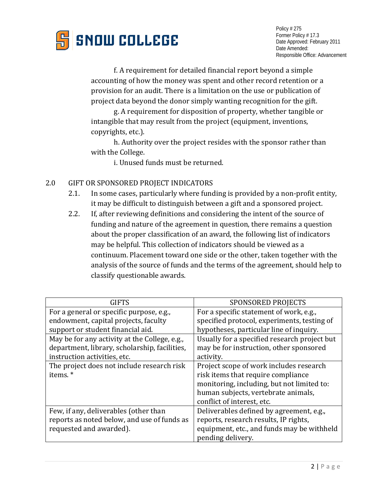

f. A requirement for detailed financial report beyond a simple accounting of how the money was spent and other record retention or a provision for an audit. There is a limitation on the use or publication of project data beyond the donor simply wanting recognition for the gift.

g. A requirement for disposition of property, whether tangible or intangible that may result from the project (equipment, inventions, copyrights, etc.).

h. Authority over the project resides with the sponsor rather than with the College.

i. Unused funds must be returned.

- 2.0 GIFT OR SPONSORED PROJECT INDICATORS
	- 2.1. In some cases, particularly where funding is provided by a non-profit entity, it may be difficult to distinguish between a gift and a sponsored project.
	- 2.2. If, after reviewing definitions and considering the intent of the source of funding and nature of the agreement in question, there remains a question about the proper classification of an award, the following list of indicators may be helpful. This collection of indicators should be viewed as a continuum. Placement toward one side or the other, taken together with the analysis of the source of funds and the terms of the agreement, should help to classify questionable awards.

| <b>GIFTS</b>                                  | <b>SPONSORED PROJECTS</b>                    |
|-----------------------------------------------|----------------------------------------------|
| For a general or specific purpose, e.g.,      | For a specific statement of work, e.g.,      |
| endowment, capital projects, faculty          | specified protocol, experiments, testing of  |
| support or student financial aid.             | hypotheses, particular line of inquiry.      |
| May be for any activity at the College, e.g., | Usually for a specified research project but |
| department, library, scholarship, facilities, | may be for instruction, other sponsored      |
| instruction activities, etc.                  | activity.                                    |
| The project does not include research risk    | Project scope of work includes research      |
| items.*                                       | risk items that require compliance           |
|                                               | monitoring, including, but not limited to:   |
|                                               | human subjects, vertebrate animals,          |
|                                               | conflict of interest, etc.                   |
| Few, if any, deliverables (other than         | Deliverables defined by agreement, e.g.,     |
| reports as noted below, and use of funds as   | reports, research results, IP rights,        |
| requested and awarded).                       | equipment, etc., and funds may be withheld   |
|                                               | pending delivery.                            |